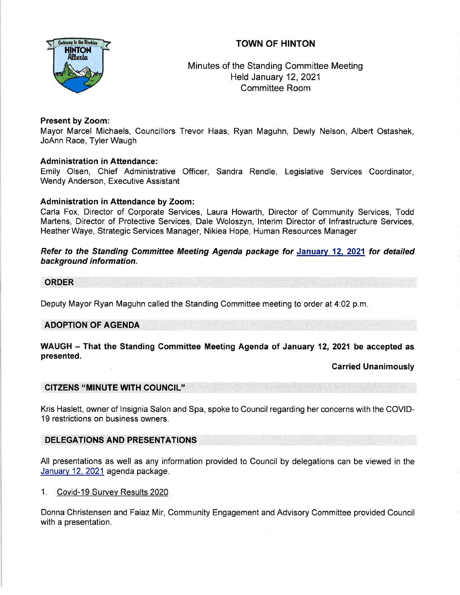# TOWN OF HINTON



Minutes of the Standing Committee Meeting Held January 12,2021 Committee Room

## Present by Zoom:

Mayor Marcel Michaels, Councillors Trevor Haas, Ryan Maguhn, Dewly Nelson, Albert Ostashek, JoAnn Race, Tyler Waugh

## Administration in Attendance:

Emily Olsen, Chief Administrative Officer, Sandra Rendle, Legislative Services Coordinator, Wendy Anderson, Executive Assistant

## Administration in Attendance by Zoom:

Carla Fox, Director of Corporate Services, Laura Howarth, Director of Community Services, Todd Martens, Director of Protective Services, Dale Woloszyn, lnterim Director of lnfrastructure Services, Heather Waye, Strategic Services Manager, Nikiea Hope, Human Resources Manager

Refer to the Standing Committee Meeting Agenda package for January 12, 2021 for detailed background information.

### ORDER

Deputy Mayor Ryan Maguhn called the Standing Committee meeting to order at 4.02 p.m

# ADOPTION OF AGENDA

### WAUGH - That the Standing Committee Meeting Agenda of January 12, 2021 be accepted as presented.

Garried Unanimously

## CITZENS "MINUTE WITH COUNCIL''

Kris Haslett, owner of lnsignia Salon and Spa, spoke to Council regarding her concerns with the COVID-19 restrictions on business owners.

## DELEGATIONS AND PRESENTATIONS

All presentations as well as any information provided to Council by delegations can be viewed in the January 12, 2021 agenda package.

<sup>I</sup>. Covid-19 Survev Results 2020

Donna Christensen and Faiaz Mir, Community Engagement and Advisory Committee provided Council with a presentation.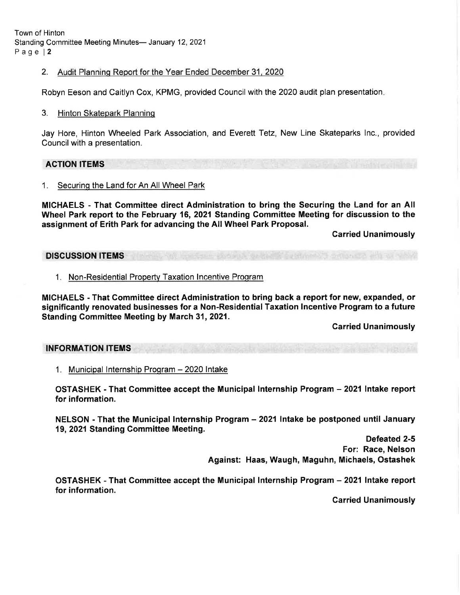Town of Hinton Standing Committee Meeting Minutes- January 12, 2021 Page l2

2. Audit Planning Report for the Year Ended December 31, 2020

Robyn Eeson and Caitlyn Cox, KPMG, provided Council with the 2020 audit plan presentation.

#### 3. Hinton Skatepark Planning

Jay Hore, Hinton Wheeled Park Association, and Everett Tetz, New Line Skateparks lnc., provided Council with a presentation.

### ACTION ITEMS

1. Securing the Land for An All Wheel Park

MICHAELS - That Gommittee direct Administration to bring the Securing the Land for an All Wheel Park report to the February 16,2021 Standing Committee Meeting for discussion to the assignment of Erith Park for advancing the AllWheel Park Proposal.

Garried Unanimously

DISCUSSION ITEMS

1. Non-Residential Property Taxation Incentive Program

MICHAELS - That Committee direct Administration to bring back a report for new, expanded, or significantly renovated businesses for a Non-Residential Taxation lncentive Program to a future Standing Committee Meeting by March 31, 2021.

Carried Unanimously

#### INFORMATION ITEMS

1. Municipal Internship Program - 2020 Intake

OSTASHEK - That Committee accept the Municipal lnternship Program - 2021 Intake report for information.

NELSON - That the Municipal Internship Program - 2021 Intake be postponed until January 19, 2021 Standing Gommittee Meeting.

> Defeated 2-5 For: Race, Nelson Against: Haas, Waugh, Maguhn, Michaels, Ostashek

OSTASHEK - That Committee accept the Municipal lnternship Program - 2021 Intake report for information.

Carried Unanimously